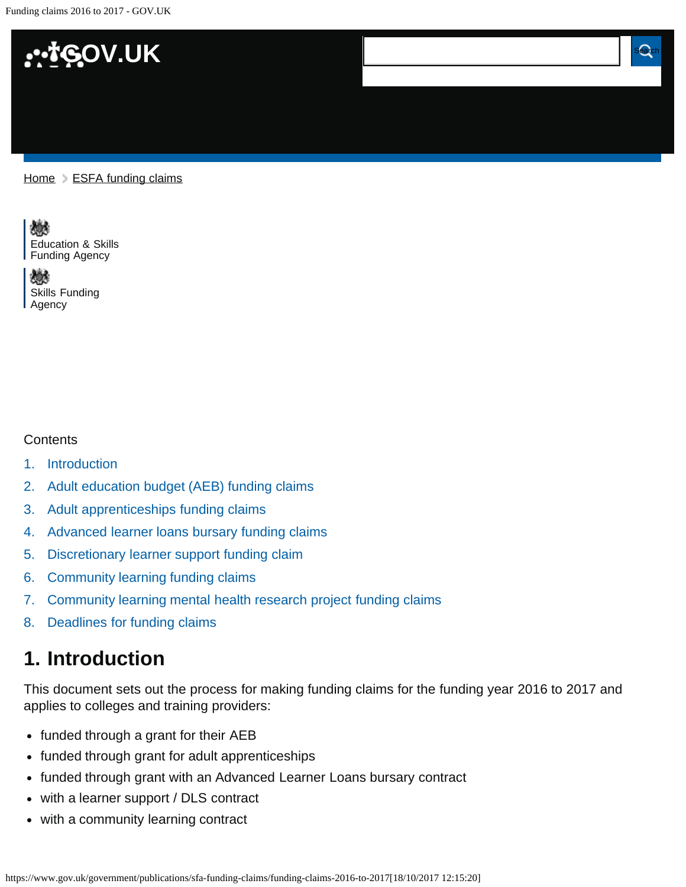<span id="page-0-1"></span>Funding claims 2016 to 2017 - GOV.UK



#### $Home$   $\geq$  [ESFA funding claims](https://www.gov.uk/government/publications/sfa-funding-claims)



嫐 [Skills Funding](https://www.gov.uk/government/organisations/skills-funding-agency)  [Agency](https://www.gov.uk/government/organisations/skills-funding-agency)

#### **Contents**

- [1.](#page-0-0) [Introduction](#page-0-0)
- [2.](#page-1-0) [Adult education budget \(AEB\) funding claims](#page-1-0)
- [3.](#page-3-0) [Adult apprenticeships funding claims](#page-3-0)
- [4.](#page-5-0) [Advanced learner loans bursary funding claims](#page-5-0)
- [5.](#page-6-0) [Discretionary learner support funding claim](#page-6-0)
- [6.](#page-8-0) [Community learning funding claims](#page-8-0)
- [7.](#page-9-0) [Community learning mental health research project funding claims](#page-9-0)
- [8.](#page-10-0) [Deadlines for funding claims](#page-10-0)

### <span id="page-0-0"></span>**1. Introduction**

This document sets out the process for making funding claims for the funding year 2016 to 2017 and applies to colleges and training providers:

- funded through a grant for their AEB
- funded through grant for adult apprenticeships
- funded through grant with an Advanced Learner Loans bursary contract
- with a learner support / DLS contract
- with a community learning contract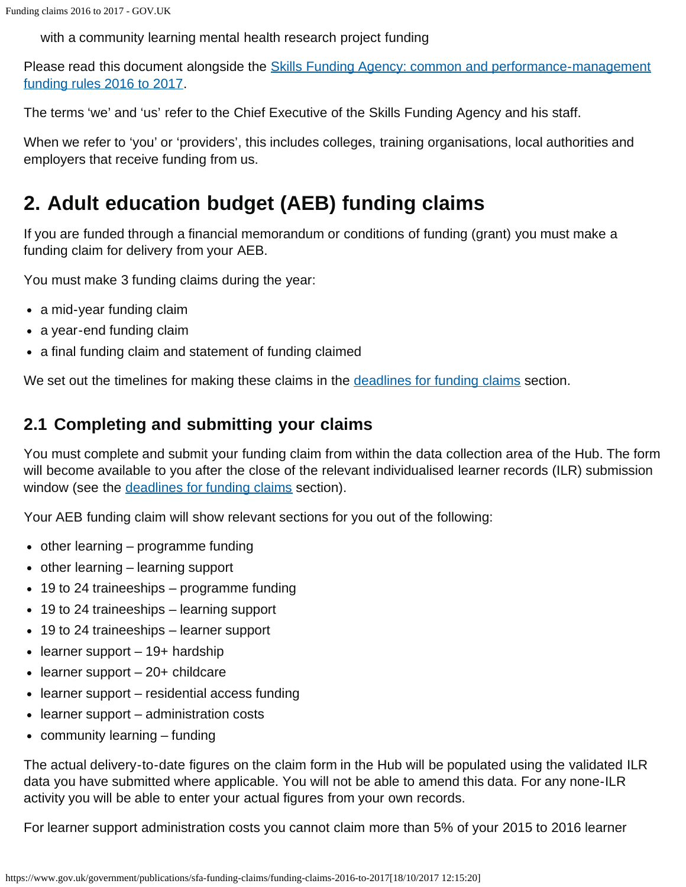with a community learning mental health research project funding

Please read this document alongside the **Skills Funding Agency: common and performance-management** [funding rules 2016 to 2017.](https://www.gov.uk/government/publications/skills-funding-agency-common-funding-rules)

The terms 'we' and 'us' refer to the Chief Executive of the Skills Funding Agency and his staff.

When we refer to 'you' or 'providers', this includes colleges, training organisations, local authorities and employers that receive funding from us.

# <span id="page-1-0"></span>**2. Adult education budget (AEB) funding claims**

If you are funded through a financial memorandum or conditions of funding (grant) you must make a funding claim for delivery from your AEB.

You must make 3 funding claims during the year:

- a mid-year funding claim
- a year-end funding claim
- a final funding claim and statement of funding claimed

We set out the timelines for making these claims in the [deadlines for funding claims](#page-10-1) section.

### **2.1 Completing and submitting your claims**

You must complete and submit your funding claim from within the data collection area of the Hub. The form will become available to you after the close of the relevant individualised learner records (ILR) submission window (see the [deadlines for funding claims](#page-10-1) section).

Your AEB funding claim will show relevant sections for you out of the following:

- other learning programme funding
- $\bullet$  other learning learning support
- 19 to 24 traineeships programme funding
- 19 to 24 traineeships learning support
- 19 to 24 traineeships learner support
- $\bullet$  learner support 19+ hardship
- $\bullet$  learner support 20+ childcare
- learner support residential access funding
- learner support administration costs
- community learning funding

The actual delivery-to-date figures on the claim form in the Hub will be populated using the validated ILR data you have submitted where applicable. You will not be able to amend this data. For any none-ILR activity you will be able to enter your actual figures from your own records.

For learner support administration costs you cannot claim more than 5% of your 2015 to 2016 learner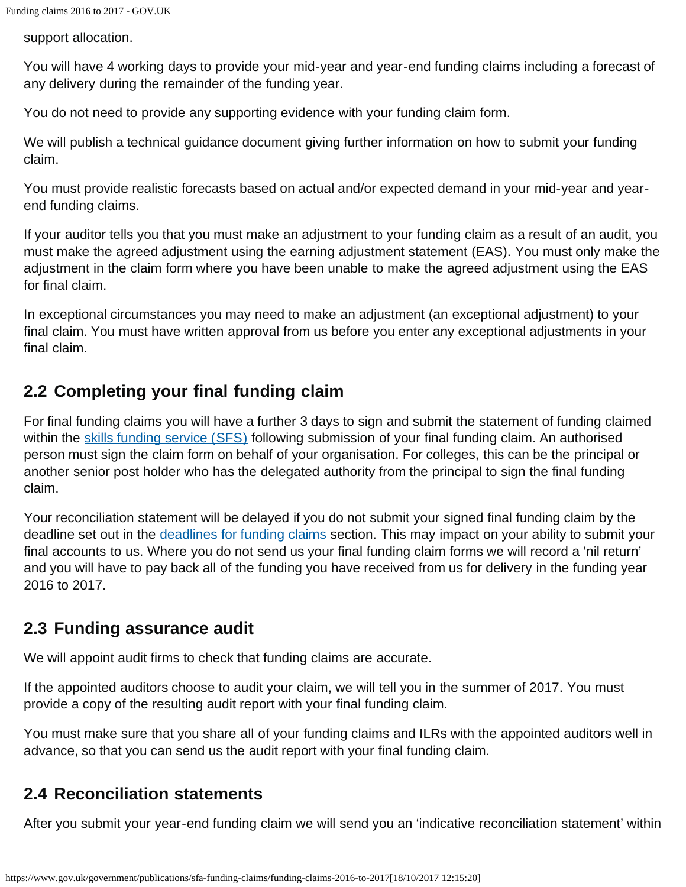support allocation.

You will have 4 working days to provide your mid-year and year-end funding claims including a forecast of any delivery during the remainder of the funding year.

You do not need to provide any supporting evidence with your funding claim form.

We will publish a technical guidance document giving further information on how to submit your funding claim.

You must provide realistic forecasts based on actual and/or expected demand in your mid-year and yearend funding claims.

If your auditor tells you that you must make an adjustment to your funding claim as a result of an audit, you must make the agreed adjustment using the earning adjustment statement (EAS). You must only make the adjustment in the claim form where you have been unable to make the agreed adjustment using the EAS for final claim.

In exceptional circumstances you may need to make an adjustment (an exceptional adjustment) to your final claim. You must have written approval from us before you enter any exceptional adjustments in your final claim.

### **2.2 Completing your final funding claim**

For final funding claims you will have a further 3 days to sign and submit the statement of funding claimed within the [skills funding service \(SFS\)](https://skillsfunding.service.gov.uk/) following submission of your final funding claim. An authorised person must sign the claim form on behalf of your organisation. For colleges, this can be the principal or another senior post holder who has the delegated authority from the principal to sign the final funding claim.

Your reconciliation statement will be delayed if you do not submit your signed final funding claim by the deadline set out in the [deadlines for funding claims](#page-10-1) section. This may impact on your ability to submit your final accounts to us. Where you do not send us your final funding claim forms we will record a 'nil return' and you will have to pay back all of the funding you have received from us for delivery in the funding year 2016 to 2017.

### **2.3 Funding assurance audit**

We will appoint audit firms to check that funding claims are accurate.

If the appointed auditors choose to audit your claim, we will tell you in the summer of 2017. You must provide a copy of the resulting audit report with your final funding claim.

You must make sure that you share all of your funding claims and ILRs with the appointed auditors well in advance, so that you can send us the audit report with your final funding claim.

### **2.4 Reconciliation statements**

After you submit your year-end funding claim we will send you an 'indicative reconciliation statement' within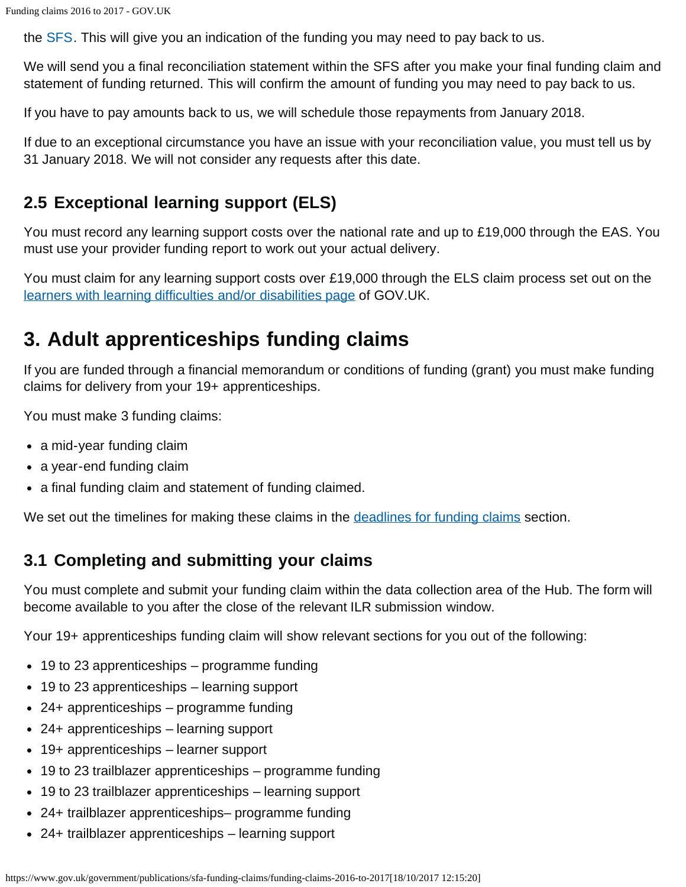the [SFS.](https://skillsfunding.service.gov.uk/) This will give you an indication of the funding you may need to pay back to us.

We will send you a final reconciliation statement within the SFS after you make your final funding claim and statement of funding returned. This will confirm the amount of funding you may need to pay back to us.

If you have to pay amounts back to us, we will schedule those repayments from January 2018.

If due to an exceptional circumstance you have an issue with your reconciliation value, you must tell us by 31 January 2018. We will not consider any requests after this date.

### **2.5 Exceptional learning support (ELS)**

You must record any learning support costs over the national rate and up to £19,000 through the EAS. You must use your provider funding report to work out your actual delivery.

You must claim for any learning support costs over £19,000 through the ELS claim process set out on the [learners with learning difficulties and/or disabilities page](https://www.gov.uk/government/collections/lldd-financial-support-for-learners) of GOV.UK.

## <span id="page-3-0"></span>**3. Adult apprenticeships funding claims**

If you are funded through a financial memorandum or conditions of funding (grant) you must make funding claims for delivery from your 19+ apprenticeships.

You must make 3 funding claims:

- a mid-year funding claim
- a year-end funding claim
- a final funding claim and statement of funding claimed.

We set out the timelines for making these claims in the [deadlines for funding claims](#page-10-1) section.

### **3.1 Completing and submitting your claims**

You must complete and submit your funding claim within the data collection area of the Hub. The form will become available to you after the close of the relevant ILR submission window.

Your 19+ apprenticeships funding claim will show relevant sections for you out of the following:

- 19 to 23 apprenticeships programme funding
- 19 to 23 apprenticeships learning support
- 24+ apprenticeships programme funding
- 24+ apprenticeships learning support
- 19+ apprenticeships learner support
- 19 to 23 trailblazer apprenticeships programme funding
- 19 to 23 trailblazer apprenticeships learning support
- 24+ trailblazer apprenticeships– programme funding
- 24+ trailblazer apprenticeships learning support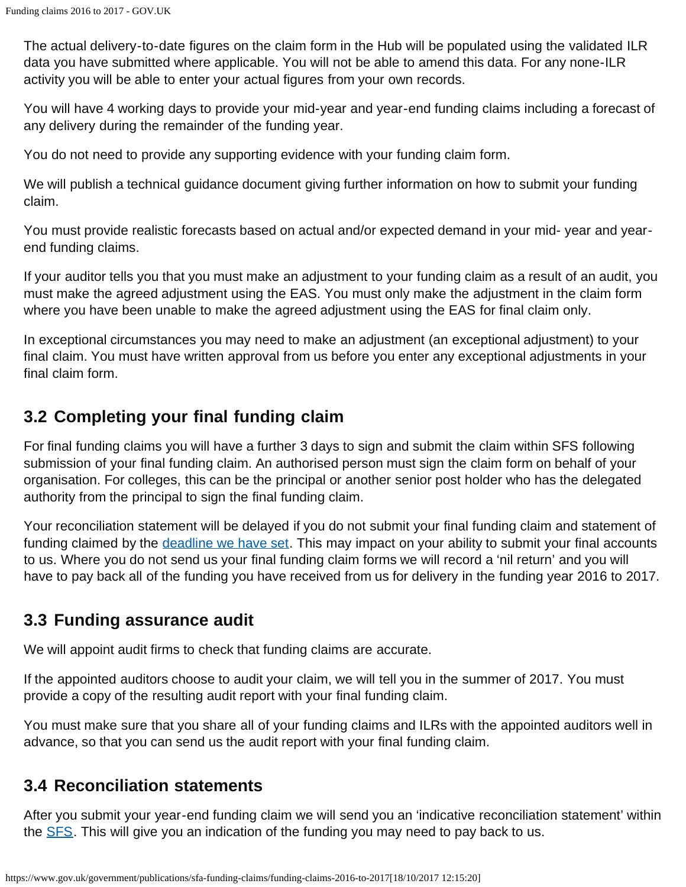The actual delivery-to-date figures on the claim form in the Hub will be populated using the validated ILR data you have submitted where applicable. You will not be able to amend this data. For any none-ILR activity you will be able to enter your actual figures from your own records.

You will have 4 working days to provide your mid-year and year-end funding claims including a forecast of any delivery during the remainder of the funding year.

You do not need to provide any supporting evidence with your funding claim form.

We will publish a technical guidance document giving further information on how to submit your funding claim.

You must provide realistic forecasts based on actual and/or expected demand in your mid- year and yearend funding claims.

If your auditor tells you that you must make an adjustment to your funding claim as a result of an audit, you must make the agreed adjustment using the EAS. You must only make the adjustment in the claim form where you have been unable to make the agreed adjustment using the EAS for final claim only.

In exceptional circumstances you may need to make an adjustment (an exceptional adjustment) to your final claim. You must have written approval from us before you enter any exceptional adjustments in your final claim form.

### **3.2 Completing your final funding claim**

For final funding claims you will have a further 3 days to sign and submit the claim within SFS following submission of your final funding claim. An authorised person must sign the claim form on behalf of your organisation. For colleges, this can be the principal or another senior post holder who has the delegated authority from the principal to sign the final funding claim.

Your reconciliation statement will be delayed if you do not submit your final funding claim and statement of funding claimed by the [deadline we have set](#page-0-1). This may impact on your ability to submit your final accounts to us. Where you do not send us your final funding claim forms we will record a 'nil return' and you will have to pay back all of the funding you have received from us for delivery in the funding year 2016 to 2017.

### **3.3 Funding assurance audit**

We will appoint audit firms to check that funding claims are accurate.

If the appointed auditors choose to audit your claim, we will tell you in the summer of 2017. You must provide a copy of the resulting audit report with your final funding claim.

You must make sure that you share all of your funding claims and ILRs with the appointed auditors well in advance, so that you can send us the audit report with your final funding claim.

### **3.4 Reconciliation statements**

After you submit your year-end funding claim we will send you an 'indicative reconciliation statement' within the **SFS**. This will give you an indication of the funding you may need to pay back to us.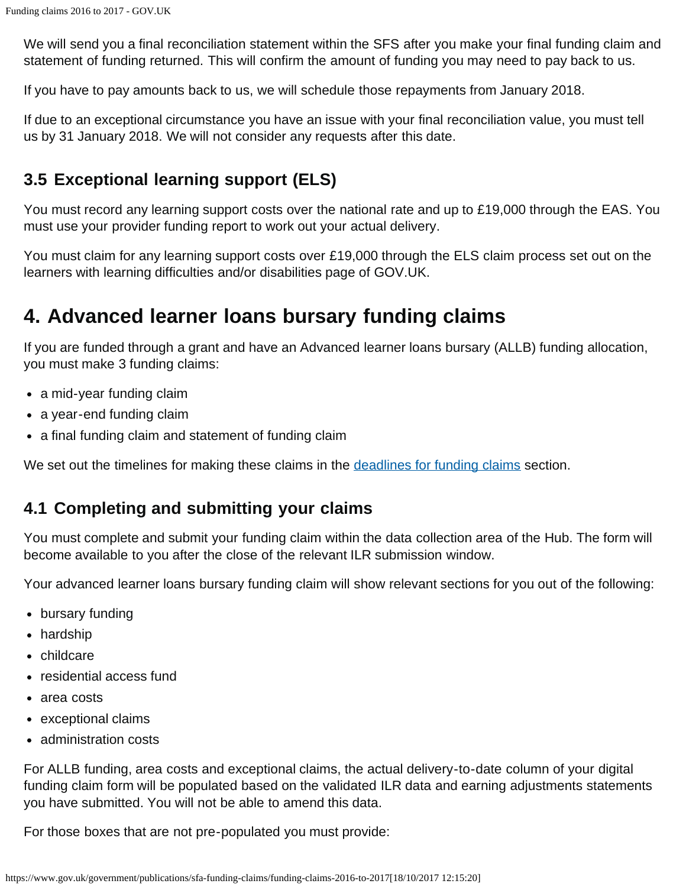We will send you a final reconciliation statement within the SFS after you make your final funding claim and statement of funding returned. This will confirm the amount of funding you may need to pay back to us.

If you have to pay amounts back to us, we will schedule those repayments from January 2018.

If due to an exceptional circumstance you have an issue with your final reconciliation value, you must tell us by 31 January 2018. We will not consider any requests after this date.

### **3.5 Exceptional learning support (ELS)**

You must record any learning support costs over the national rate and up to £19,000 through the EAS. You must use your provider funding report to work out your actual delivery.

You must claim for any learning support costs over £19,000 through the ELS claim process set out on the learners with learning difficulties and/or disabilities page of GOV.UK.

### <span id="page-5-0"></span>**4. Advanced learner loans bursary funding claims**

If you are funded through a grant and have an Advanced learner loans bursary (ALLB) funding allocation, you must make 3 funding claims:

- a mid-year funding claim
- a year-end funding claim
- a final funding claim and statement of funding claim

We set out the timelines for making these claims in the [deadlines for funding claims](#page-10-1) section.

### **4.1 Completing and submitting your claims**

You must complete and submit your funding claim within the data collection area of the Hub. The form will become available to you after the close of the relevant ILR submission window.

Your advanced learner loans bursary funding claim will show relevant sections for you out of the following:

- bursary funding
- hardship
- childcare
- residential access fund
- area costs
- exceptional claims
- administration costs

For ALLB funding, area costs and exceptional claims, the actual delivery-to-date column of your digital funding claim form will be populated based on the validated ILR data and earning adjustments statements you have submitted. You will not be able to amend this data.

For those boxes that are not pre-populated you must provide: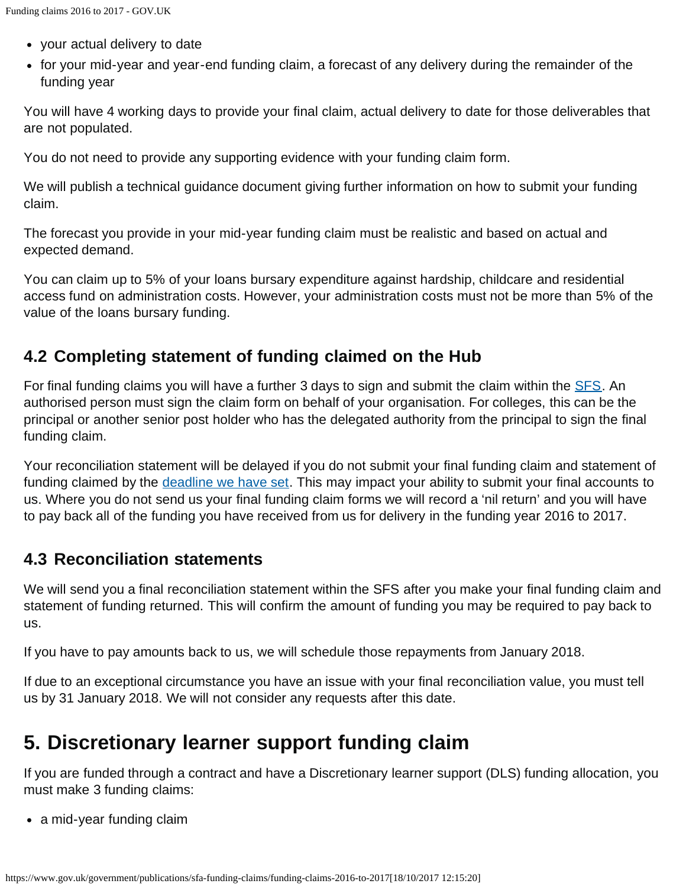- your actual delivery to date
- for your mid-year and year-end funding claim, a forecast of any delivery during the remainder of the funding year

You will have 4 working days to provide your final claim, actual delivery to date for those deliverables that are not populated.

You do not need to provide any supporting evidence with your funding claim form.

We will publish a technical guidance document giving further information on how to submit your funding claim.

The forecast you provide in your mid-year funding claim must be realistic and based on actual and expected demand.

You can claim up to 5% of your loans bursary expenditure against hardship, childcare and residential access fund on administration costs. However, your administration costs must not be more than 5% of the value of the loans bursary funding.

### **4.2 Completing statement of funding claimed on the Hub**

For final funding claims you will have a further 3 days to sign and submit the claim within the **SFS**. An authorised person must sign the claim form on behalf of your organisation. For colleges, this can be the principal or another senior post holder who has the delegated authority from the principal to sign the final funding claim.

Your reconciliation statement will be delayed if you do not submit your final funding claim and statement of funding claimed by the [deadline we have set](#page-0-1). This may impact your ability to submit your final accounts to us. Where you do not send us your final funding claim forms we will record a 'nil return' and you will have to pay back all of the funding you have received from us for delivery in the funding year 2016 to 2017.

### **4.3 Reconciliation statements**

We will send you a final reconciliation statement within the SFS after you make your final funding claim and statement of funding returned. This will confirm the amount of funding you may be required to pay back to us.

If you have to pay amounts back to us, we will schedule those repayments from January 2018.

If due to an exceptional circumstance you have an issue with your final reconciliation value, you must tell us by 31 January 2018. We will not consider any requests after this date.

### <span id="page-6-0"></span>**5. Discretionary learner support funding claim**

If you are funded through a contract and have a Discretionary learner support (DLS) funding allocation, you must make 3 funding claims:

• a mid-year funding claim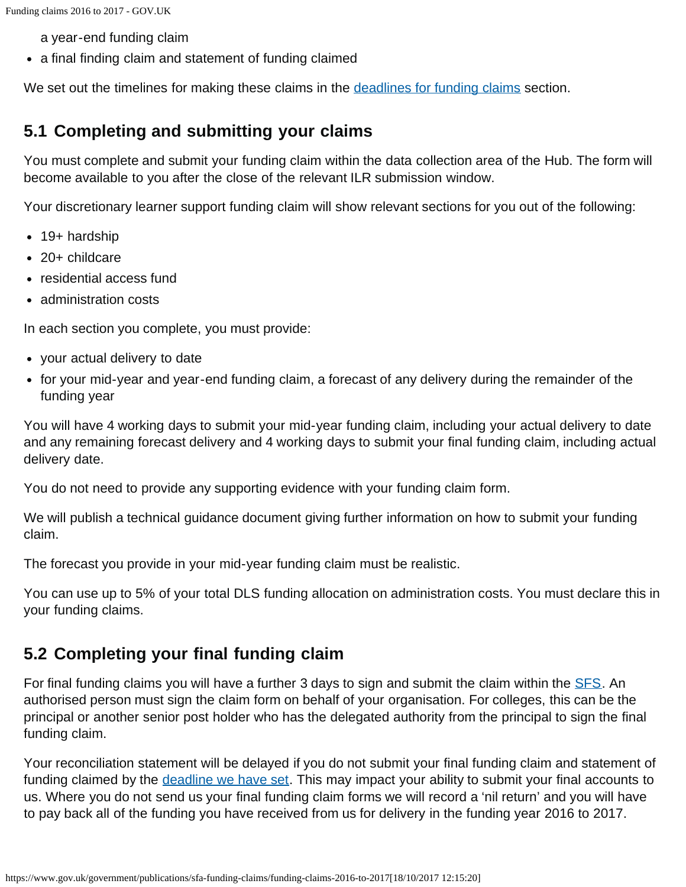a year-end funding claim

• a final finding claim and statement of funding claimed

We set out the timelines for making these claims in the [deadlines for funding claims](#page-10-1) section.

### **5.1 Completing and submitting your claims**

You must complete and submit your funding claim within the data collection area of the Hub. The form will become available to you after the close of the relevant ILR submission window.

Your discretionary learner support funding claim will show relevant sections for you out of the following:

- 19+ hardship
- 20+ childcare
- residential access fund
- administration costs

In each section you complete, you must provide:

- your actual delivery to date
- for your mid-year and year-end funding claim, a forecast of any delivery during the remainder of the funding year

You will have 4 working days to submit your mid-year funding claim, including your actual delivery to date and any remaining forecast delivery and 4 working days to submit your final funding claim, including actual delivery date.

You do not need to provide any supporting evidence with your funding claim form.

We will publish a technical guidance document giving further information on how to submit your funding claim.

The forecast you provide in your mid-year funding claim must be realistic.

You can use up to 5% of your total DLS funding allocation on administration costs. You must declare this in your funding claims.

### **5.2 Completing your final funding claim**

For final funding claims you will have a further 3 days to sign and submit the claim within the **SFS**. An authorised person must sign the claim form on behalf of your organisation. For colleges, this can be the principal or another senior post holder who has the delegated authority from the principal to sign the final funding claim.

Your reconciliation statement will be delayed if you do not submit your final funding claim and statement of funding claimed by the [deadline we have set](#page-0-1). This may impact your ability to submit your final accounts to us. Where you do not send us your final funding claim forms we will record a 'nil return' and you will have to pay back all of the funding you have received from us for delivery in the funding year 2016 to 2017.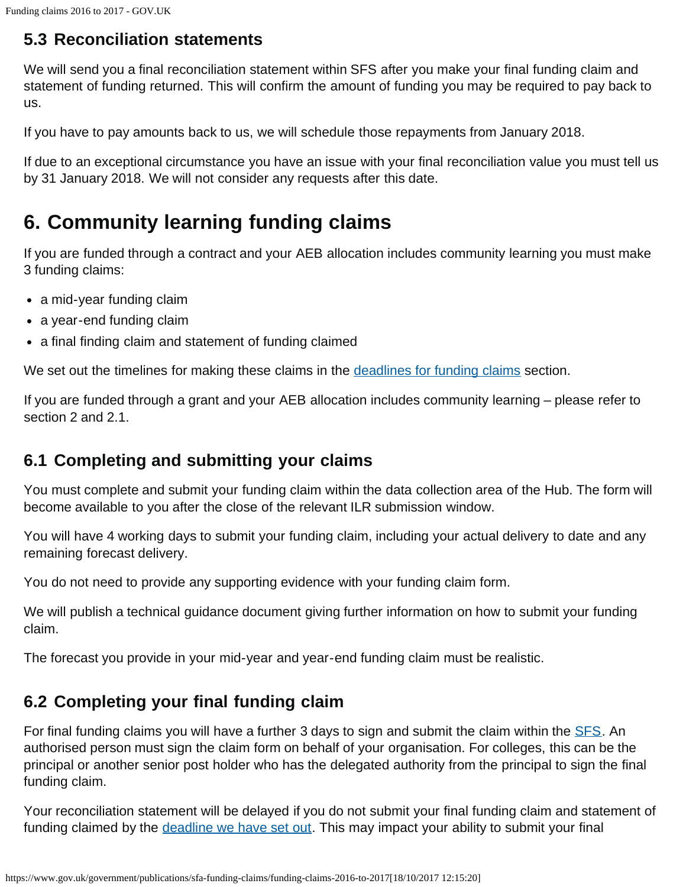### **5.3 Reconciliation statements**

We will send you a final reconciliation statement within SFS after you make your final funding claim and statement of funding returned. This will confirm the amount of funding you may be required to pay back to us.

If you have to pay amounts back to us, we will schedule those repayments from January 2018.

If due to an exceptional circumstance you have an issue with your final reconciliation value you must tell us by 31 January 2018. We will not consider any requests after this date.

# <span id="page-8-0"></span>**6. Community learning funding claims**

If you are funded through a contract and your AEB allocation includes community learning you must make 3 funding claims:

- a mid-year funding claim
- a year-end funding claim
- a final finding claim and statement of funding claimed

We set out the timelines for making these claims in the [deadlines for funding claims](#page-10-1) section.

If you are funded through a grant and your AEB allocation includes community learning – please refer to section 2 and 2.1.

### **6.1 Completing and submitting your claims**

You must complete and submit your funding claim within the data collection area of the Hub. The form will become available to you after the close of the relevant ILR submission window.

You will have 4 working days to submit your funding claim, including your actual delivery to date and any remaining forecast delivery.

You do not need to provide any supporting evidence with your funding claim form.

We will publish a technical guidance document giving further information on how to submit your funding claim.

The forecast you provide in your mid-year and year-end funding claim must be realistic.

### **6.2 Completing your final funding claim**

For final funding claims you will have a further 3 days to sign and submit the claim within the **SFS**. An authorised person must sign the claim form on behalf of your organisation. For colleges, this can be the principal or another senior post holder who has the delegated authority from the principal to sign the final funding claim.

Your reconciliation statement will be delayed if you do not submit your final funding claim and statement of funding claimed by the [deadline we have set out.](#page-0-1) This may impact your ability to submit your final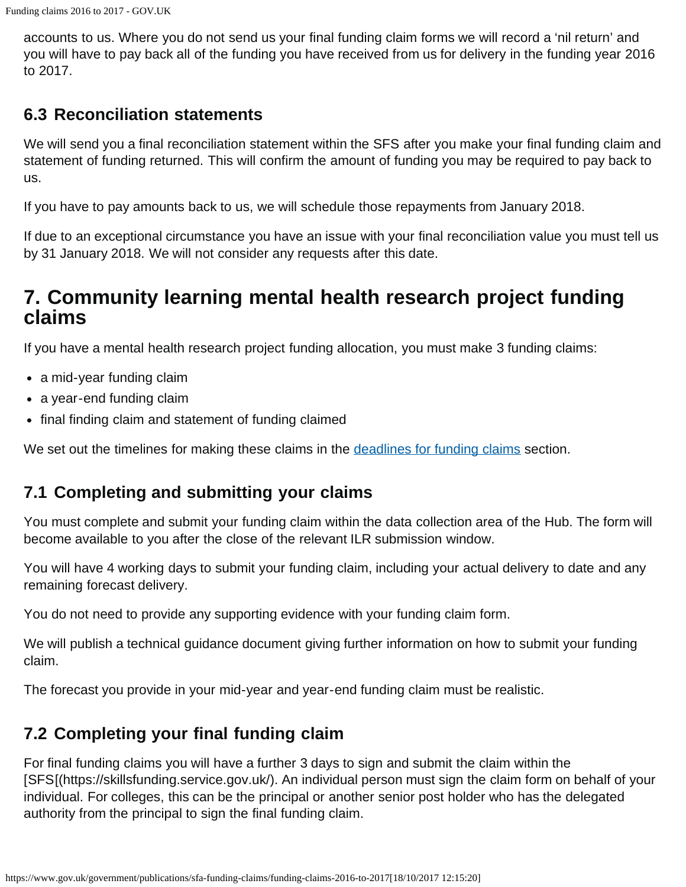accounts to us. Where you do not send us your final funding claim forms we will record a 'nil return' and you will have to pay back all of the funding you have received from us for delivery in the funding year 2016 to 2017.

### **6.3 Reconciliation statements**

We will send you a final reconciliation statement within the SFS after you make your final funding claim and statement of funding returned. This will confirm the amount of funding you may be required to pay back to us.

If you have to pay amounts back to us, we will schedule those repayments from January 2018.

If due to an exceptional circumstance you have an issue with your final reconciliation value you must tell us by 31 January 2018. We will not consider any requests after this date.

### <span id="page-9-0"></span>**7. Community learning mental health research project funding claims**

If you have a mental health research project funding allocation, you must make 3 funding claims:

- a mid-year funding claim
- a year-end funding claim
- final finding claim and statement of funding claimed

We set out the timelines for making these claims in the [deadlines for funding claims](#page-10-1) section.

### **7.1 Completing and submitting your claims**

You must complete and submit your funding claim within the data collection area of the Hub. The form will become available to you after the close of the relevant ILR submission window.

You will have 4 working days to submit your funding claim, including your actual delivery to date and any remaining forecast delivery.

You do not need to provide any supporting evidence with your funding claim form.

We will publish a technical guidance document giving further information on how to submit your funding claim.

The forecast you provide in your mid-year and year-end funding claim must be realistic.

### **7.2 Completing your final funding claim**

For final funding claims you will have a further 3 days to sign and submit the claim within the [SFS[(https://skillsfunding.service.gov.uk/). An individual person must sign the claim form on behalf of your individual. For colleges, this can be the principal or another senior post holder who has the delegated authority from the principal to sign the final funding claim.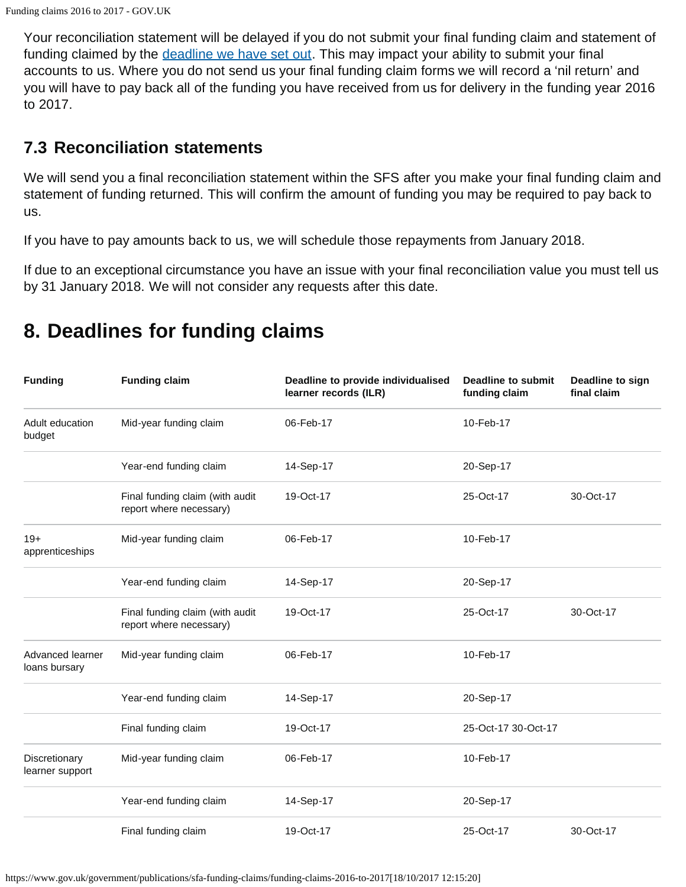Your reconciliation statement will be delayed if you do not submit your final funding claim and statement of funding claimed by the [deadline we have set out.](#page-0-1) This may impact your ability to submit your final accounts to us. Where you do not send us your final funding claim forms we will record a 'nil return' and you will have to pay back all of the funding you have received from us for delivery in the funding year 2016 to 2017.

#### **7.3 Reconciliation statements**

<span id="page-10-1"></span>We will send you a final reconciliation statement within the SFS after you make your final funding claim and statement of funding returned. This will confirm the amount of funding you may be required to pay back to us.

If you have to pay amounts back to us, we will schedule those repayments from January 2018.

If due to an exceptional circumstance you have an issue with your final reconciliation value you must tell us by 31 January 2018. We will not consider any requests after this date.

| <b>Funding</b>                    | <b>Funding claim</b>                                       | Deadline to provide individualised<br>learner records (ILR) | Deadline to submit<br>funding claim | Deadline to sign<br>final claim |
|-----------------------------------|------------------------------------------------------------|-------------------------------------------------------------|-------------------------------------|---------------------------------|
| Adult education<br>budget         | Mid-year funding claim                                     | 06-Feb-17                                                   | 10-Feb-17                           |                                 |
|                                   | Year-end funding claim                                     | 14-Sep-17                                                   | 20-Sep-17                           |                                 |
|                                   | Final funding claim (with audit<br>report where necessary) | 19-Oct-17                                                   | 25-Oct-17                           | 30-Oct-17                       |
| $19+$<br>apprenticeships          | Mid-year funding claim                                     | 06-Feb-17                                                   | 10-Feb-17                           |                                 |
|                                   | Year-end funding claim                                     | 14-Sep-17                                                   | 20-Sep-17                           |                                 |
|                                   | Final funding claim (with audit<br>report where necessary) | 19-Oct-17                                                   | 25-Oct-17                           | 30-Oct-17                       |
| Advanced learner<br>loans bursary | Mid-year funding claim                                     | 06-Feb-17                                                   | 10-Feb-17                           |                                 |
|                                   | Year-end funding claim                                     | 14-Sep-17                                                   | 20-Sep-17                           |                                 |
|                                   | Final funding claim                                        | 19-Oct-17                                                   | 25-Oct-17 30-Oct-17                 |                                 |
| Discretionary<br>learner support  | Mid-year funding claim                                     | 06-Feb-17                                                   | 10-Feb-17                           |                                 |
|                                   | Year-end funding claim                                     | 14-Sep-17                                                   | 20-Sep-17                           |                                 |
|                                   | Final funding claim                                        | 19-Oct-17                                                   | 25-Oct-17                           | 30-Oct-17                       |

# <span id="page-10-0"></span>**8. Deadlines for funding claims**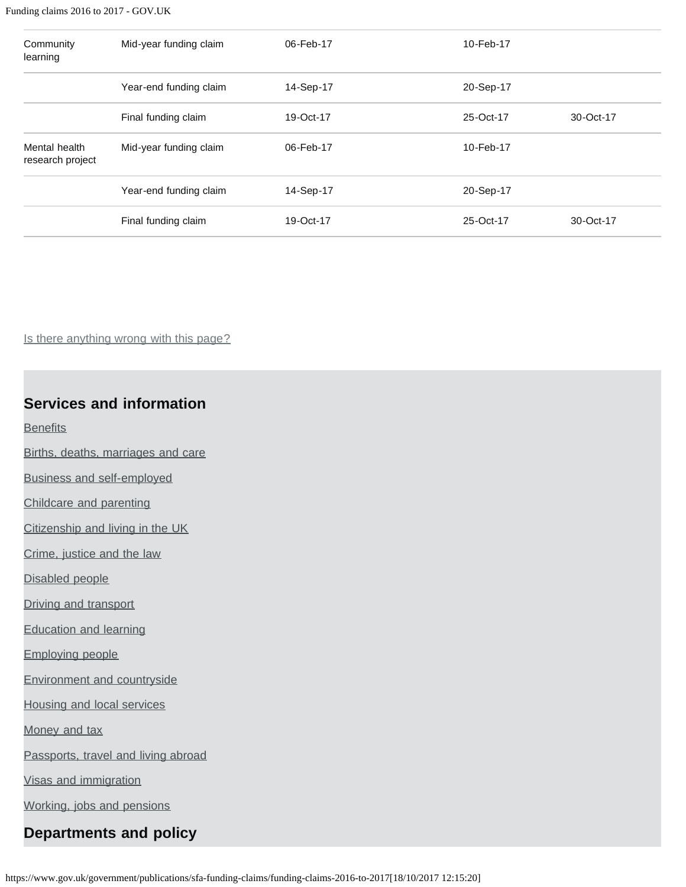#### Funding claims 2016 to 2017 - GOV.UK

| Community<br>learning             | Mid-year funding claim | 06-Feb-17 | 10-Feb-17 |           |
|-----------------------------------|------------------------|-----------|-----------|-----------|
|                                   | Year-end funding claim | 14-Sep-17 | 20-Sep-17 |           |
|                                   | Final funding claim    | 19-Oct-17 | 25-Oct-17 | 30-Oct-17 |
| Mental health<br>research project | Mid-year funding claim | 06-Feb-17 | 10-Feb-17 |           |
|                                   | Year-end funding claim | 14-Sep-17 | 20-Sep-17 |           |
|                                   | Final funding claim    | 19-Oct-17 | 25-Oct-17 | 30-Oct-17 |

Is there anything wrong with this page?

#### **Services and information**

**[Benefits](https://www.gov.uk/browse/benefits)** 

[Births, deaths, marriages and care](https://www.gov.uk/browse/births-deaths-marriages)

[Business and self-employed](https://www.gov.uk/browse/business)

[Childcare and parenting](https://www.gov.uk/browse/childcare-parenting)

[Citizenship and living in the UK](https://www.gov.uk/browse/citizenship)

[Crime, justice and the law](https://www.gov.uk/browse/justice)

[Disabled people](https://www.gov.uk/browse/disabilities)

[Driving and transport](https://www.gov.uk/browse/driving)

[Education and learning](https://www.gov.uk/browse/education)

[Employing people](https://www.gov.uk/browse/employing-people)

[Environment and countryside](https://www.gov.uk/browse/environment-countryside)

[Housing and local services](https://www.gov.uk/browse/housing-local-services)

[Money and tax](https://www.gov.uk/browse/tax)

[Passports, travel and living abroad](https://www.gov.uk/browse/abroad)

[Visas and immigration](https://www.gov.uk/browse/visas-immigration)

[Working, jobs and pensions](https://www.gov.uk/browse/working)

### **Departments and policy**